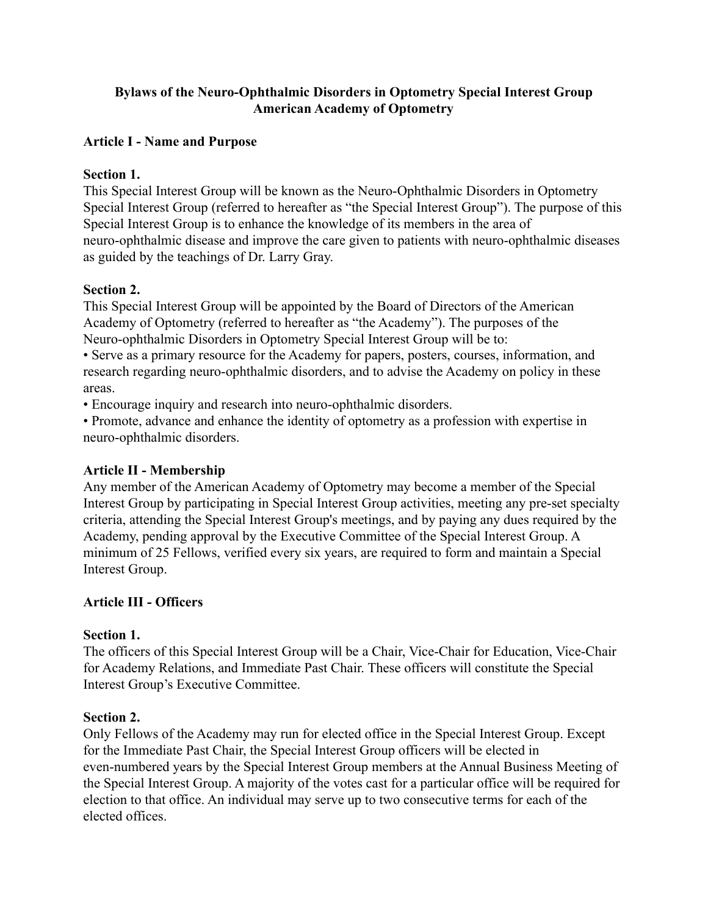# **Bylaws of the Neuro-Ophthalmic Disorders in Optometry Special Interest Group American Academy of Optometry**

# **Article I - Name and Purpose**

#### **Section 1.**

This Special Interest Group will be known as the Neuro-Ophthalmic Disorders in Optometry Special Interest Group (referred to hereafter as "the Special Interest Group"). The purpose of this Special Interest Group is to enhance the knowledge of its members in the area of neuro-ophthalmic disease and improve the care given to patients with neuro-ophthalmic diseases as guided by the teachings of Dr. Larry Gray.

# **Section 2.**

This Special Interest Group will be appointed by the Board of Directors of the American Academy of Optometry (referred to hereafter as "the Academy"). The purposes of the Neuro-ophthalmic Disorders in Optometry Special Interest Group will be to:

• Serve as a primary resource for the Academy for papers, posters, courses, information, and research regarding neuro-ophthalmic disorders, and to advise the Academy on policy in these areas.

• Encourage inquiry and research into neuro-ophthalmic disorders.

• Promote, advance and enhance the identity of optometry as a profession with expertise in neuro-ophthalmic disorders.

# **Article II - Membership**

Any member of the American Academy of Optometry may become a member of the Special Interest Group by participating in Special Interest Group activities, meeting any pre-set specialty criteria, attending the Special Interest Group's meetings, and by paying any dues required by the Academy, pending approval by the Executive Committee of the Special Interest Group. A minimum of 25 Fellows, verified every six years, are required to form and maintain a Special Interest Group.

# **Article III - Officers**

#### **Section 1.**

The officers of this Special Interest Group will be a Chair, Vice-Chair for Education, Vice-Chair for Academy Relations, and Immediate Past Chair. These officers will constitute the Special Interest Group's Executive Committee.

#### **Section 2.**

Only Fellows of the Academy may run for elected office in the Special Interest Group. Except for the Immediate Past Chair, the Special Interest Group officers will be elected in even-numbered years by the Special Interest Group members at the Annual Business Meeting of the Special Interest Group. A majority of the votes cast for a particular office will be required for election to that office. An individual may serve up to two consecutive terms for each of the elected offices.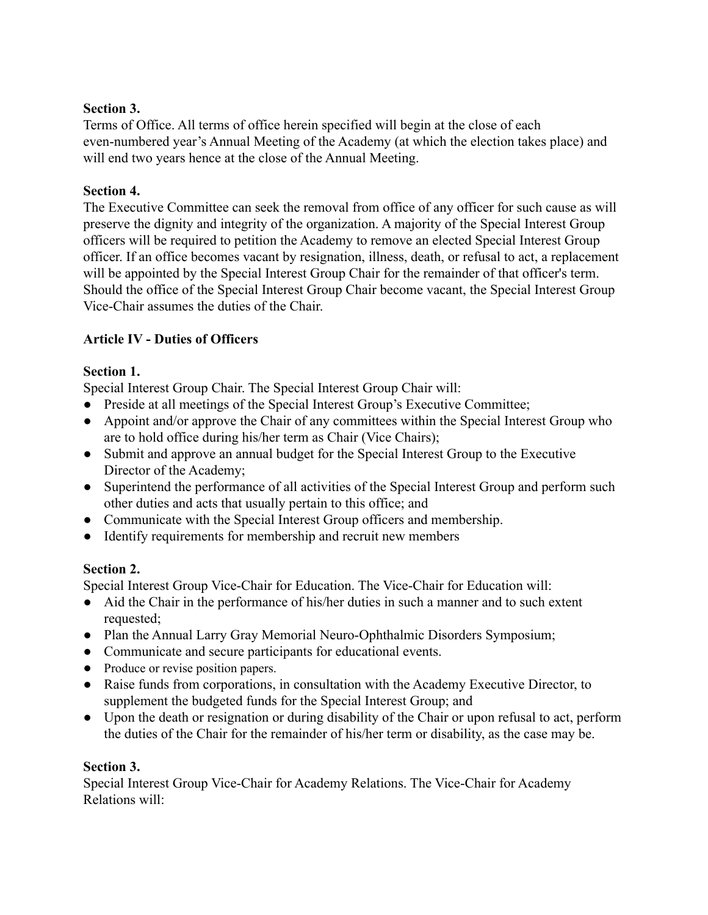# **Section 3.**

Terms of Office. All terms of office herein specified will begin at the close of each even-numbered year's Annual Meeting of the Academy (at which the election takes place) and will end two years hence at the close of the Annual Meeting.

# **Section 4.**

The Executive Committee can seek the removal from office of any officer for such cause as will preserve the dignity and integrity of the organization. A majority of the Special Interest Group officers will be required to petition the Academy to remove an elected Special Interest Group officer. If an office becomes vacant by resignation, illness, death, or refusal to act, a replacement will be appointed by the Special Interest Group Chair for the remainder of that officer's term. Should the office of the Special Interest Group Chair become vacant, the Special Interest Group Vice-Chair assumes the duties of the Chair.

# **Article IV - Duties of Officers**

# **Section 1.**

Special Interest Group Chair. The Special Interest Group Chair will:

- Preside at all meetings of the Special Interest Group's Executive Committee;
- Appoint and/or approve the Chair of any committees within the Special Interest Group who are to hold office during his/her term as Chair (Vice Chairs);
- Submit and approve an annual budget for the Special Interest Group to the Executive Director of the Academy;
- Superintend the performance of all activities of the Special Interest Group and perform such other duties and acts that usually pertain to this office; and
- Communicate with the Special Interest Group officers and membership.
- Identify requirements for membership and recruit new members

# **Section 2.**

Special Interest Group Vice-Chair for Education. The Vice-Chair for Education will:

- Aid the Chair in the performance of his/her duties in such a manner and to such extent requested:
- Plan the Annual Larry Gray Memorial Neuro-Ophthalmic Disorders Symposium;
- Communicate and secure participants for educational events.
- Produce or revise position papers.
- Raise funds from corporations, in consultation with the Academy Executive Director, to supplement the budgeted funds for the Special Interest Group; and
- Upon the death or resignation or during disability of the Chair or upon refusal to act, perform the duties of the Chair for the remainder of his/her term or disability, as the case may be.

# **Section 3.**

Special Interest Group Vice-Chair for Academy Relations. The Vice-Chair for Academy Relations will: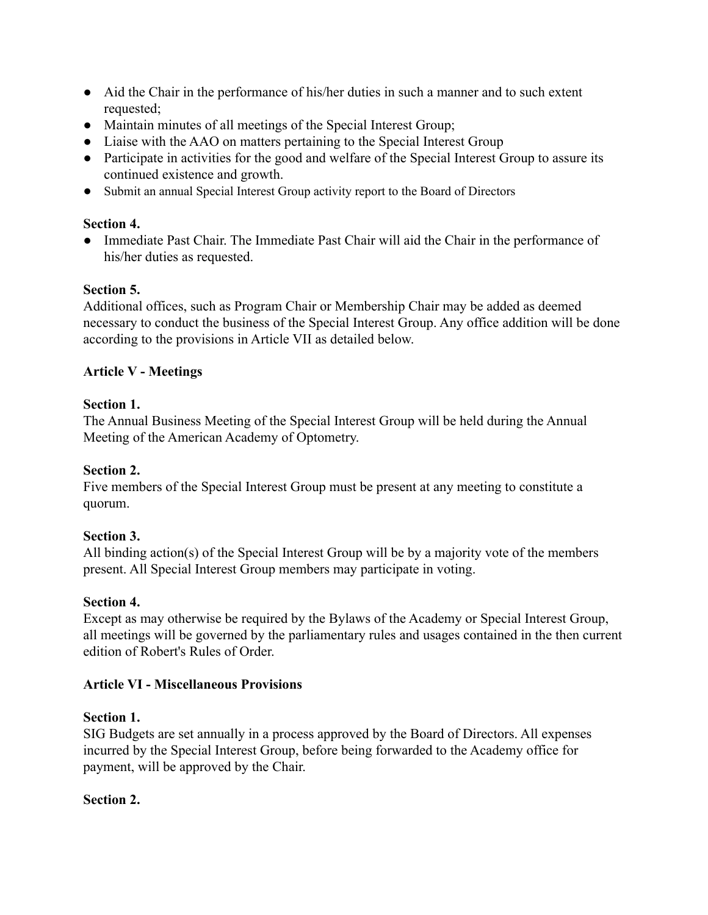- Aid the Chair in the performance of his/her duties in such a manner and to such extent requested;
- Maintain minutes of all meetings of the Special Interest Group;
- Liaise with the AAO on matters pertaining to the Special Interest Group
- Participate in activities for the good and welfare of the Special Interest Group to assure its continued existence and growth.
- Submit an annual Special Interest Group activity report to the Board of Directors

# **Section 4.**

● Immediate Past Chair. The Immediate Past Chair will aid the Chair in the performance of his/her duties as requested.

# **Section 5.**

Additional offices, such as Program Chair or Membership Chair may be added as deemed necessary to conduct the business of the Special Interest Group. Any office addition will be done according to the provisions in Article VII as detailed below.

# **Article V - Meetings**

# **Section 1.**

The Annual Business Meeting of the Special Interest Group will be held during the Annual Meeting of the American Academy of Optometry.

# **Section 2.**

Five members of the Special Interest Group must be present at any meeting to constitute a quorum.

# **Section 3.**

All binding action(s) of the Special Interest Group will be by a majority vote of the members present. All Special Interest Group members may participate in voting.

# **Section 4.**

Except as may otherwise be required by the Bylaws of the Academy or Special Interest Group, all meetings will be governed by the parliamentary rules and usages contained in the then current edition of Robert's Rules of Order.

# **Article VI - Miscellaneous Provisions**

# **Section 1.**

SIG Budgets are set annually in a process approved by the Board of Directors. All expenses incurred by the Special Interest Group, before being forwarded to the Academy office for payment, will be approved by the Chair.

# **Section 2.**